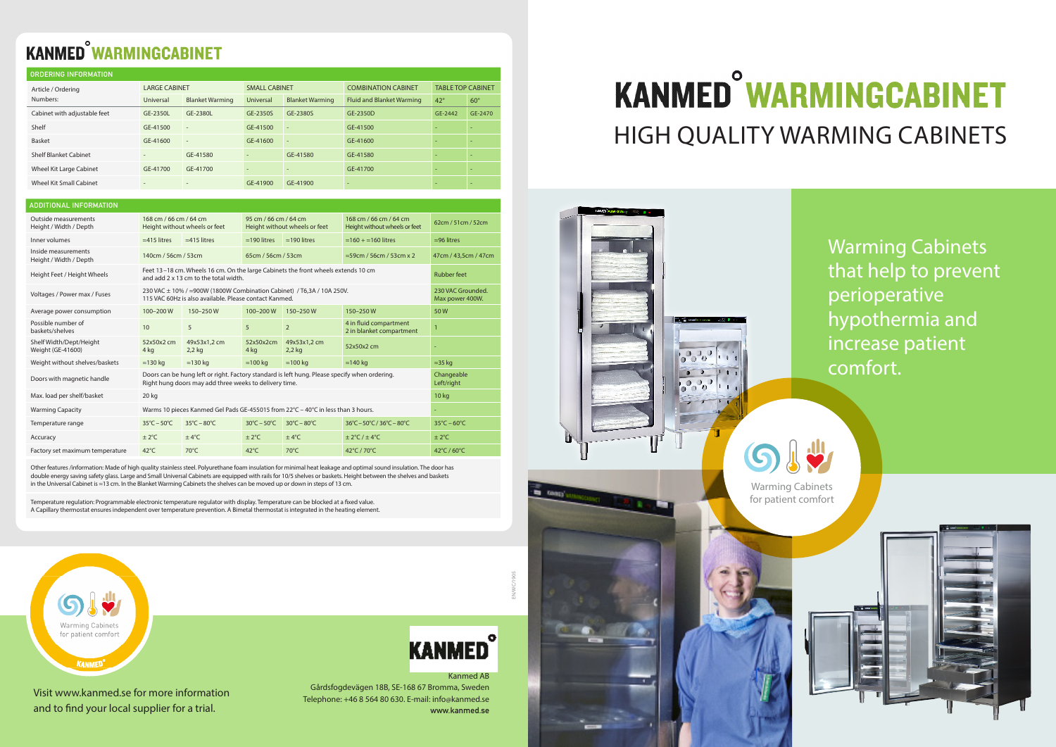# **KANMED<sup>°</sup>WARMINGCABINET** HIGH QUALITY WARMING CABINETS

Warming Cabinets that help to prevent perioperative hypothermia and increase patient comfort.



Visit www.kanmed.se for more information and to find your local supplier for a trial.

Warming Cabinets for patient comfort

# EN/WC/1905



#### Kanmed AB

Gårdsfogdevägen 18B, SE-168 67 Bromma, Sweden Telephone: +46 8 564 80 630. E-mail: info@kanmed.se **www.kanmed.se**

## **KANMED<sup>°</sup>WARMINGCABINET**

| <b>ORDERING INFORMATION</b>    |                          |                          |                          |                          |                                  |                          |                          |  |  |  |  |
|--------------------------------|--------------------------|--------------------------|--------------------------|--------------------------|----------------------------------|--------------------------|--------------------------|--|--|--|--|
| Article / Ordering<br>Numbers: | <b>LARGE CABINET</b>     |                          | <b>SMALL CABINET</b>     |                          | <b>COMBINATION CABINET</b>       | <b>TABLE TOP CABINET</b> |                          |  |  |  |  |
|                                | Universal                | <b>Blanket Warming</b>   | Universal                | <b>Blanket Warming</b>   | <b>Fluid and Blanket Warming</b> | $42^{\circ}$             | $60^\circ$               |  |  |  |  |
| Cabinet with adjustable feet   | GE-2350L                 | GE-2380L                 | GE-2350S                 | GE-2380S                 | GE-2350D                         | GE-2442                  | GE-2470                  |  |  |  |  |
| Shelf                          | GE-41500                 | $\overline{\phantom{a}}$ | GE-41500                 | $\overline{\phantom{m}}$ | GE-41500                         | $\overline{\phantom{a}}$ | $\overline{\phantom{a}}$ |  |  |  |  |
| Basket                         | GE-41600                 | $\overline{a}$           | GE-41600                 | $\overline{a}$           | GE-41600                         |                          | $\overline{\phantom{a}}$ |  |  |  |  |
| <b>Shelf Blanket Cabinet</b>   | $\overline{\phantom{m}}$ | GE-41580                 | -                        | GE-41580                 | GE-41580                         | $\overline{\phantom{a}}$ | $\overline{\phantom{a}}$ |  |  |  |  |
| Wheel Kit Large Cabinet        | GE-41700                 | GE-41700                 | $\overline{\phantom{m}}$ |                          | GE-41700                         | $\overline{\phantom{a}}$ | $\overline{\phantom{a}}$ |  |  |  |  |
| <b>Wheel Kit Small Cabinet</b> | $\overline{\phantom{a}}$ | ٠                        | GE-41900                 | GE-41900                 | ٠                                |                          | $\overline{\phantom{a}}$ |  |  |  |  |

| <b>ADDITIONAL INFORMATION</b>                  |                                                                                                                                                         |                                      |                                                        |                                  |                                                         |                                  |  |
|------------------------------------------------|---------------------------------------------------------------------------------------------------------------------------------------------------------|--------------------------------------|--------------------------------------------------------|----------------------------------|---------------------------------------------------------|----------------------------------|--|
| Outside measurements<br>Height / Width / Depth | 168 cm / 66 cm / 64 cm<br>Height without wheels or feet                                                                                                 |                                      | 95 cm / 66 cm / 64 cm<br>Height without wheels or feet |                                  | 168 cm / 66 cm / 64 cm<br>Height without wheels or feet | 62cm / 51cm / 52cm               |  |
| Inner volumes                                  | $\approx$ 415 litres                                                                                                                                    | $\approx$ 415 litres                 | $\approx$ 190 litres                                   | $\approx$ 190 litres             | $\approx$ 160 + $\approx$ 160 litres                    | $\approx$ 96 litres              |  |
| Inside measurements<br>Height / Width / Depth  | 140cm / 56cm / 53cm                                                                                                                                     |                                      | 65cm / 56cm / 53cm                                     |                                  | $\approx$ 59cm / 56cm / 53cm x 2                        | 47cm / 43.5cm / 47cm             |  |
| Height Feet / Height Wheels                    | Feet 13-18 cm. Wheels 16 cm. On the large Cabinets the front wheels extends 10 cm<br>and add 2 x 13 cm to the total width.                              | <b>Rubber feet</b>                   |                                                        |                                  |                                                         |                                  |  |
| Voltages / Power max / Fuses                   | 230 VAC ± 10% / ≈900W (1800W Combination Cabinet) / T6,3A / 10A 250V.<br>115 VAC 60Hz is also available. Please contact Kanmed.                         | 230 VAC Grounded.<br>Max power 400W. |                                                        |                                  |                                                         |                                  |  |
| Average power consumption                      | $100 - 200$ W                                                                                                                                           | 150-250W                             | $100 - 200$ W                                          | 150-250W                         | 150-250W                                                | 50W                              |  |
| Possible number of<br>baskets/shelves          | 10                                                                                                                                                      | 5                                    | 5                                                      | $\overline{2}$                   | 4 in fluid compartment<br>2 in blanket compartment      | $\mathbf{1}$                     |  |
| Shelf Width/Dept/Height<br>Weight (GE-41600)   | 52x50x2 cm<br>4 kg                                                                                                                                      | 49x53x1,2 cm<br>$2,2$ kg             | 52x50x2cm<br>4 kg                                      | 49x53x1,2 cm<br>$2,2$ kg         | 52x50x2 cm                                              |                                  |  |
| Weight without shelves/baskets                 | $\approx$ 130 kg                                                                                                                                        | $\approx$ 130 kg                     | $\approx$ 100 kg                                       | $\approx$ 100 kg                 | $\approx$ 140 kg                                        | $\approx$ 35 kg                  |  |
| Doors with magnetic handle                     | Doors can be hung left or right. Factory standard is left hung. Please specify when ordering.<br>Right hung doors may add three weeks to delivery time. | Changeable<br>Left/right             |                                                        |                                  |                                                         |                                  |  |
| Max. load per shelf/basket                     | 20 kg                                                                                                                                                   | 10 <sub>kg</sub>                     |                                                        |                                  |                                                         |                                  |  |
| <b>Warming Capacity</b>                        | Warms 10 pieces Kanmed Gel Pads GE-455015 from 22°C - 40°C in less than 3 hours.                                                                        | ۰.                                   |                                                        |                                  |                                                         |                                  |  |
| Temperature range                              | $35^{\circ}$ C – $50^{\circ}$ C                                                                                                                         | $35^{\circ}$ C – 80 $^{\circ}$ C     | $30^{\circ}$ C – $50^{\circ}$ C                        | $30^{\circ}$ C – 80 $^{\circ}$ C | 36°C-50°C/36°C-80°C                                     | $35^{\circ}$ C – 60 $^{\circ}$ C |  |
| Accuracy                                       | $\pm 2^{\circ}$ C                                                                                                                                       | ±4°C                                 | $\pm 2^{\circ}$ C                                      | ±4°C                             | $\pm$ 2°C / $\pm$ 4°C                                   | $\pm 2^{\circ}$ C                |  |
| Factory set maximum temperature                | $42^{\circ}$ C                                                                                                                                          | $70^{\circ}$ C                       | $42^{\circ}$ C                                         | $70^{\circ}$ C                   | 42°C / 70°C                                             | 42°C / 60°C                      |  |

Other features /information: Made of high quality stainless steel. Polyurethane foam insulation for minimal heat leakage and optimal sound insulation. The door has double energy saving safety glass. Large and Small Universal Cabinets are equipped with rails for 10/5 shelves or baskets. Height between the shelves and baskets in the Universal Cabinet is ≈13 cm. In the Blanket Warming Cabinets the shelves can be moved up or down in steps of 13 cm.

Temperature regulation: Programmable electronic temperature regulator with display. Temperature can be blocked at a fixed value. A Capillary thermostat ensures independent over temperature prevention. A Bimetal thermostat is integrated in the heating element.